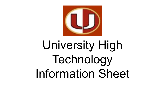

# University High Technology Information Sheet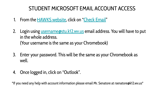#### STUDENT MICROSOFT EMAIL ACCOUNT ACCESS

- 1. From the [HAWKS website](https://hawks.mono.k12.wv.us), click on "[Check Email](https://login.microsoftonline.com)"
- 2. Login using username *ostu.k12.wv.us* email address. You will have to put in the whole address. (Your username is the same as your Chromebook)
- 3. Enter your password. This will be the same as your Chromebook as well.
- 4. Once logged in, click on "Outlook".

\*If you need any help with account information please email Mr. Senatore at rsenatore@k12.wv.us\*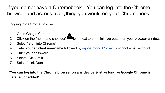If you do not have a Chromebook…You can log into the Chrome browser and access everything you would on your Chromebook!

Logging into Chrome Browser

- 1. Open Google Chrome
- 2. Click on the "head and shoulder" icon next to the minimize button on your browser window.
- 3. Select "Sign into Chrome"
- 4. Enter your **student username** followed by [@boe.mono.k12.wv.us](mailto:number@boe.mono.k12.wv.us) school email account
- 5. Enter your password
- 6. Select "Ok, Got it"
- 7. Select "Link Data"

\***You can log into the Chrome browser on any device, just as long as Google Chrome is installed or added\***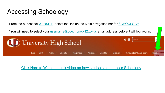## Accessing Schoology

From the our school [WEBSITE,](https://hawks.mono.k12.wv.us) select the link on the Main navigation bar for [SCHOOLOGY](https://monongalia.schoology.com/).

\*You will need to select your [username@boe.mono.k12.wv.us](mailto:username@boe.mono.k12.wv.us) email address before it will log you in.



[Click Here to Watch a quick video on how students can access Schoology](https://www.loom.com/share/333817b490b84af1b1d551de988c11a2)